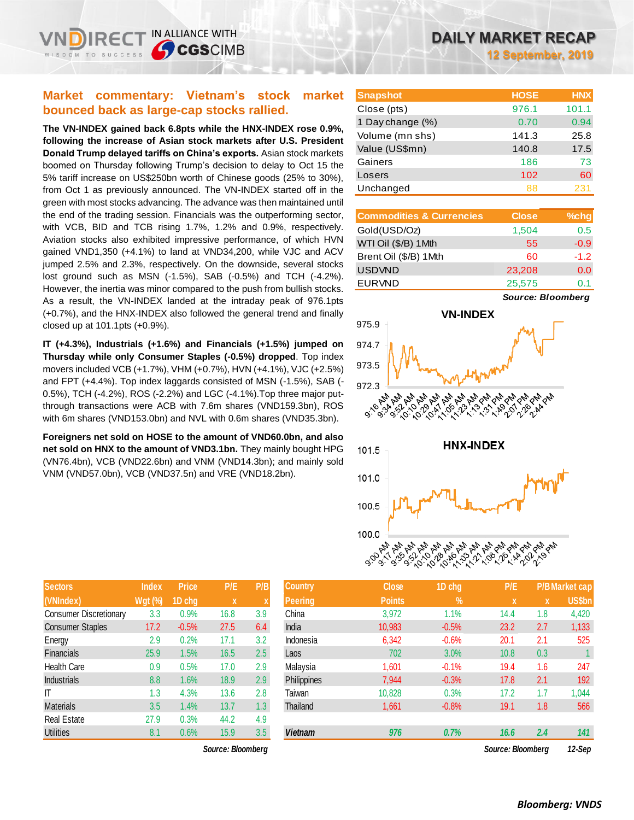IN ALLIANCE WITH

## **Market commentary: Vietnam's stock market bounced back as large-cap stocks rallied.**

**The VN-INDEX gained back 6.8pts while the HNX-INDEX rose 0.9%, following the increase of Asian stock markets after U.S. President Donald Trump delayed tariffs on China's exports.** Asian stock markets boomed on Thursday following Trump's decision to delay to Oct 15 the 5% tariff increase on US\$250bn worth of Chinese goods (25% to 30%), from Oct 1 as previously announced. The VN-INDEX started off in the green with most stocks advancing. The advance was then maintained until the end of the trading session. Financials was the outperforming sector, with VCB, BID and TCB rising 1.7%, 1.2% and 0.9%, respectively. Aviation stocks also exhibited impressive performance, of which HVN gained VND1,350 (+4.1%) to land at VND34,200, while VJC and ACV jumped 2.5% and 2.3%, respectively. On the downside, several stocks lost ground such as MSN (-1.5%), SAB (-0.5%) and TCH (-4.2%). However, the inertia was minor compared to the push from bullish stocks. As a result, the VN-INDEX landed at the intraday peak of 976.1pts (+0.7%), and the HNX-INDEX also followed the general trend and finally closed up at 101.1pts (+0.9%).

**IT (+4.3%), Industrials (+1.6%) and Financials (+1.5%) jumped on Thursday while only Consumer Staples (-0.5%) dropped**. Top index movers included VCB (+1.7%), VHM (+0.7%), HVN (+4.1%), VJC (+2.5%) and FPT (+4.4%). Top index laggards consisted of MSN (-1.5%), SAB (- 0.5%), TCH (-4.2%), ROS (-2.2%) and LGC (-4.1%).Top three major putthrough transactions were ACB with 7.6m shares (VND159.3bn), ROS with 6m shares (VND153.0bn) and NVL with 0.6m shares (VND35.3bn).

**Foreigners net sold on HOSE to the amount of VND60.0bn, and also net sold on HNX to the amount of VND3.1bn.** They mainly bought HPG (VN76.4bn), VCB (VND22.6bn) and VNM (VND14.3bn); and mainly sold VNM (VND57.0bn), VCB (VND37.5n) and VRE (VND18.2bn).

| <b>Sectors</b>                | <b>Index</b>   | <b>Price</b> | P/E  | P/B |
|-------------------------------|----------------|--------------|------|-----|
| (VNIndex)                     | <b>Wgt (%)</b> | 1D chg       | X    | X   |
| <b>Consumer Discretionary</b> | 3.3            | 0.9%         | 16.8 | 3.9 |
| <b>Consumer Staples</b>       | 17.2           | $-0.5%$      | 27.5 | 6.4 |
| Energy                        | 2.9            | 0.2%         | 17.1 | 3.2 |
| <b>Financials</b>             | 25.9           | 1.5%         | 16.5 | 2.5 |
| Health Care                   | 0.9            | 0.5%         | 17.0 | 2.9 |
| <b>Industrials</b>            | 8.8            | 1.6%         | 18.9 | 2.9 |
| IT                            | 1.3            | 4.3%         | 13.6 | 2.8 |
| <b>Materials</b>              | 3.5            | 1.4%         | 13.7 | 1.3 |
| <b>Real Estate</b>            | 27.9           | 0.3%         | 44.2 | 4.9 |
| <b>Utilities</b>              | 8.1            | 0.6%         | 15.9 | 3.5 |

*Source: Bloomberg Source: Bloomberg 12-Sep*

# **DAILY MARKET RECAP**

**12 September, 2019**

| <b>Snapshot</b>  | <b>HOSE</b> | <b>HNX</b> |
|------------------|-------------|------------|
| Close (pts)      | 976.1       | 101.1      |
| 1 Day change (%) | 0.70        | 0.94       |
| Volume (mn shs)  | 141.3       | 25.8       |
| Value (US\$mn)   | 140.8       | 17.5       |
| Gainers          | 186         | 73         |
| Losers           | 102         | 60         |
| Unchanged        | 88          | 231        |

| <b>Commodities &amp; Currencies</b> | <b>Close</b> | $%$ chg |
|-------------------------------------|--------------|---------|
| Gold(USD/Oz)                        | 1,504        | 0.5     |
| WTI Oil (\$/B) 1Mth                 | 55           | $-0.9$  |
| Brent Oil (\$/B) 1Mth               | 60           | $-1.2$  |
| <b>USDVND</b>                       | 23,208       | 0.0     |
| <b>EURVND</b>                       | 25,575       | 0.1     |

*Source: Bloomberg*



| <b>Sectors</b>          | <b>Index</b>   | <b>Price</b> | P/E               | P/B | <b>Country</b> | <b>Close</b>  | 1D chg        | P/E               |     | P/B Market cap |
|-------------------------|----------------|--------------|-------------------|-----|----------------|---------------|---------------|-------------------|-----|----------------|
| (VNIndex)               | <b>Wgt (%)</b> | 1D chg       | X.                |     | <b>Peering</b> | <b>Points</b> | $\frac{9}{6}$ | <b>X</b>          | X   | <b>US\$bn</b>  |
| Consumer Discretionary  | 3.3            | 0.9%         | 16.8              | 3.9 | China          | 3,972         | $1.1\%$       | 14.4              | 1.8 | 4,420          |
| <b>Consumer Staples</b> | 17.2           | $-0.5%$      | 27.5              | 6.4 | India          | 10,983        | $-0.5%$       | 23.2              | 2.7 | 1,133          |
| Energy                  | 2.9            | 0.2%         | 17.1              | 3.2 | Indonesia      | 6,342         | $-0.6%$       | 20.1              | 2.1 | 525            |
| Financials              | 25.9           | 1.5%         | 16.5              | 2.5 | Laos           | 702           | 3.0%          | 10.8              | 0.3 |                |
| Health Care             | 0.9            | 0.5%         | 17.0              | 2.9 | Malaysia       | 1,601         | $-0.1%$       | 19.4              | 1.6 | 247            |
| <b>Industrials</b>      | 8.8            | 1.6%         | 18.9              | 2.9 | Philippines    | 7,944         | $-0.3%$       | 17.8              | 2.1 | 192            |
| ΙT                      | 1.3            | 4.3%         | 13.6              | 2.8 | Taiwan         | 10,828        | 0.3%          | 17.2              | 1.7 | 1,044          |
| Materials               | 3.5            | 1.4%         | 13.7              | 1.3 | Thailand       | 1,661         | $-0.8%$       | 19.1              | 1.8 | 566            |
| Real Estate             | 27.9           | 0.3%         | 44.2              | 4.9 |                |               |               |                   |     |                |
| <b>Utilities</b>        | 8.1            | 0.6%         | 15.9              | 3.5 | <b>Vietnam</b> | 976           | 0.7%          | 16.6              | 2.4 | 141            |
|                         |                |              | Source: Bloomberg |     |                |               |               | Source: Bloomberg |     | 12-Sep         |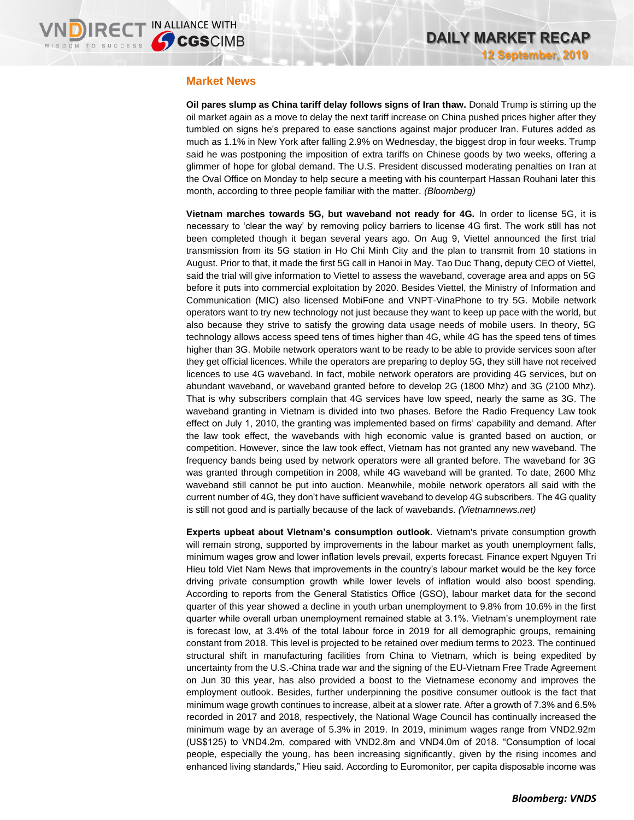#### **Market News**

**Oil pares slump as China tariff delay follows signs of Iran thaw.** Donald Trump is stirring up the oil market again as a move to delay the next tariff increase on China pushed prices higher after they tumbled on signs he's prepared to ease sanctions against major producer Iran. Futures added as much as 1.1% in New York after falling 2.9% on Wednesday, the biggest drop in four weeks. Trump said he was postponing the imposition of extra tariffs on Chinese goods by two weeks, offering a glimmer of hope for global demand. The U.S. President discussed moderating penalties on Iran at the Oval Office on Monday to help secure a meeting with his counterpart Hassan Rouhani later this month, according to three people familiar with the matter. *(Bloomberg)*

**Vietnam marches towards 5G, but waveband not ready for 4G.** In order to license 5G, it is necessary to 'clear the way' by removing policy barriers to license 4G first. The work still has not been completed though it began several years ago. On Aug 9, Viettel announced the first trial transmission from its 5G station in Ho Chi Minh City and the plan to transmit from 10 stations in August. Prior to that, it made the first 5G call in Hanoi in May. Tao Duc Thang, deputy CEO of Viettel, said the trial will give information to Viettel to assess the waveband, coverage area and apps on 5G before it puts into commercial exploitation by 2020. Besides Viettel, the Ministry of Information and Communication (MIC) also licensed MobiFone and VNPT-VinaPhone to try 5G. Mobile network operators want to try new technology not just because they want to keep up pace with the world, but also because they strive to satisfy the growing data usage needs of mobile users. In theory, 5G technology allows access speed tens of times higher than 4G, while 4G has the speed tens of times higher than 3G. Mobile network operators want to be ready to be able to provide services soon after they get official licences. While the operators are preparing to deploy 5G, they still have not received licences to use 4G waveband. In fact, mobile network operators are providing 4G services, but on abundant waveband, or waveband granted before to develop 2G (1800 Mhz) and 3G (2100 Mhz). That is why subscribers complain that 4G services have low speed, nearly the same as 3G. The waveband granting in Vietnam is divided into two phases. Before the Radio Frequency Law took effect on July 1, 2010, the granting was implemented based on firms' capability and demand. After the law took effect, the wavebands with high economic value is granted based on auction, or competition. However, since the law took effect, Vietnam has not granted any new waveband. The frequency bands being used by network operators were all granted before. The waveband for 3G was granted through competition in 2008, while 4G waveband will be granted. To date, 2600 Mhz waveband still cannot be put into auction. Meanwhile, mobile network operators all said with the current number of 4G, they don't have sufficient waveband to develop 4G subscribers. The 4G quality is still not good and is partially because of the lack of wavebands. *(Vietnamnews.net)*

**Experts upbeat about Vietnam's consumption outlook.** Vietnam's private consumption growth will remain strong, supported by improvements in the labour market as youth unemployment falls, minimum wages grow and lower inflation levels prevail, experts forecast. Finance expert Nguyen Tri Hieu told Viet Nam News that improvements in the country's labour market would be the key force driving private consumption growth while lower levels of inflation would also boost spending. According to reports from the General Statistics Office (GSO), labour market data for the second quarter of this year showed a decline in youth urban unemployment to 9.8% from 10.6% in the first quarter while overall urban unemployment remained stable at 3.1%. Vietnam's unemployment rate is forecast low, at 3.4% of the total labour force in 2019 for all demographic groups, remaining constant from 2018. This level is projected to be retained over medium terms to 2023. The continued structural shift in manufacturing facilities from China to Vietnam, which is being expedited by uncertainty from the U.S.-China trade war and the signing of the EU-Vietnam Free Trade Agreement on Jun 30 this year, has also provided a boost to the Vietnamese economy and improves the employment outlook. Besides, further underpinning the positive consumer outlook is the fact that minimum wage growth continues to increase, albeit at a slower rate. After a growth of 7.3% and 6.5% recorded in 2017 and 2018, respectively, the National Wage Council has continually increased the minimum wage by an average of 5.3% in 2019. In 2019, minimum wages range from VND2.92m (US\$125) to VND4.2m, compared with VND2.8m and VND4.0m of 2018. "Consumption of local people, especially the young, has been increasing significantly, given by the rising incomes and enhanced living standards," Hieu said. According to Euromonitor, per capita disposable income was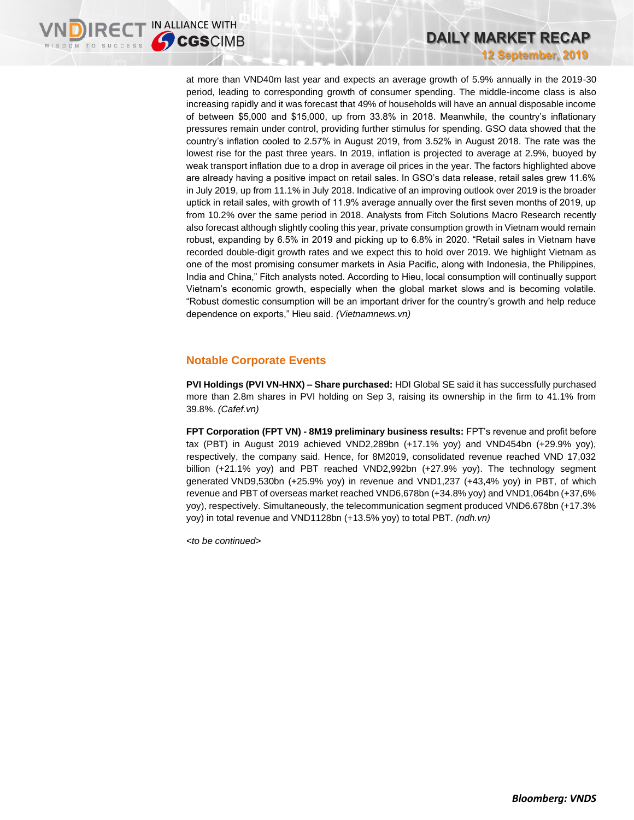

at more than VND40m last year and expects an average growth of 5.9% annually in the 2019-30 period, leading to corresponding growth of consumer spending. The middle-income class is also increasing rapidly and it was forecast that 49% of households will have an annual disposable income of between \$5,000 and \$15,000, up from 33.8% in 2018. Meanwhile, the country's inflationary pressures remain under control, providing further stimulus for spending. GSO data showed that the country's inflation cooled to 2.57% in August 2019, from 3.52% in August 2018. The rate was the lowest rise for the past three years. In 2019, inflation is projected to average at 2.9%, buoyed by weak transport inflation due to a drop in average oil prices in the year. The factors highlighted above are already having a positive impact on retail sales. In GSO's data release, retail sales grew 11.6% in July 2019, up from 11.1% in July 2018. Indicative of an improving outlook over 2019 is the broader uptick in retail sales, with growth of 11.9% average annually over the first seven months of 2019, up from 10.2% over the same period in 2018. Analysts from Fitch Solutions Macro Research recently also forecast although slightly cooling this year, private consumption growth in Vietnam would remain robust, expanding by 6.5% in 2019 and picking up to 6.8% in 2020. "Retail sales in Vietnam have recorded double-digit growth rates and we expect this to hold over 2019. We highlight Vietnam as one of the most promising consumer markets in Asia Pacific, along with Indonesia, the Philippines, India and China," Fitch analysts noted. According to Hieu, local consumption will continually support Vietnam's economic growth, especially when the global market slows and is becoming volatile. "Robust domestic consumption will be an important driver for the country's growth and help reduce dependence on exports," Hieu said. *(Vietnamnews.vn)*

## **Notable Corporate Events**

**PVI Holdings (PVI VN-HNX) – Share purchased:** HDI Global SE said it has successfully purchased more than 2.8m shares in PVI holding on Sep 3, raising its ownership in the firm to 41.1% from 39.8%. *(Cafef.vn)*

**FPT Corporation (FPT VN) - 8M19 preliminary business results:** FPT's revenue and profit before tax (PBT) in August 2019 achieved VND2,289bn (+17.1% yoy) and VND454bn (+29.9% yoy), respectively, the company said. Hence, for 8M2019, consolidated revenue reached VND 17,032 billion (+21.1% yoy) and PBT reached VND2,992bn (+27.9% yoy). The technology segment generated VND9,530bn (+25.9% yoy) in revenue and VND1,237 (+43,4% yoy) in PBT, of which revenue and PBT of overseas market reached VND6,678bn (+34.8% yoy) and VND1,064bn (+37,6% yoy), respectively. Simultaneously, the telecommunication segment produced VND6.678bn (+17.3% yoy) in total revenue and VND1128bn (+13.5% yoy) to total PBT. *(ndh.vn)*

*<to be continued>*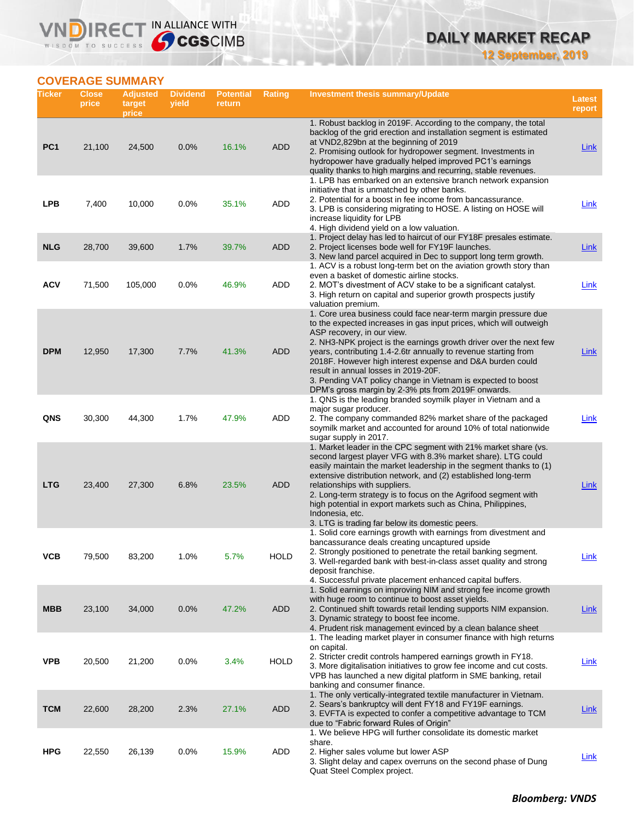**12 September, 2019**

# **COVERAGE SUMMARY**

WISDOM TO SUCCESS

VND

IRECT IN ALLIANCE WITH

| Ticker          | <b>Close</b><br>price | <b>Adjusted</b><br>target<br>price | <b>Dividend</b><br>yield | <b>Potential</b><br>return | <b>Rating</b> | Investment thesis summary/Update                                                                                                                                                                                                                                                                                                                                                                                                                                                                                                       | <b>Latest</b><br>report |
|-----------------|-----------------------|------------------------------------|--------------------------|----------------------------|---------------|----------------------------------------------------------------------------------------------------------------------------------------------------------------------------------------------------------------------------------------------------------------------------------------------------------------------------------------------------------------------------------------------------------------------------------------------------------------------------------------------------------------------------------------|-------------------------|
| PC <sub>1</sub> | 21,100                | 24,500                             | 0.0%                     | 16.1%                      | <b>ADD</b>    | 1. Robust backlog in 2019F. According to the company, the total<br>backlog of the grid erection and installation segment is estimated<br>at VND2,829bn at the beginning of 2019<br>2. Promising outlook for hydropower segment. Investments in<br>hydropower have gradually helped improved PC1's earnings<br>quality thanks to high margins and recurring, stable revenues.                                                                                                                                                           | <b>Link</b>             |
| <b>LPB</b>      | 7,400                 | 10,000                             | 0.0%                     | 35.1%                      | ADD           | 1. LPB has embarked on an extensive branch network expansion<br>initiative that is unmatched by other banks.<br>2. Potential for a boost in fee income from bancassurance.<br>3. LPB is considering migrating to HOSE. A listing on HOSE will<br>increase liquidity for LPB<br>4. High dividend yield on a low valuation.                                                                                                                                                                                                              | Link                    |
| <b>NLG</b>      | 28,700                | 39,600                             | 1.7%                     | 39.7%                      | <b>ADD</b>    | 1. Project delay has led to haircut of our FY18F presales estimate.<br>2. Project licenses bode well for FY19F launches.<br>3. New land parcel acquired in Dec to support long term growth.                                                                                                                                                                                                                                                                                                                                            | <b>Link</b>             |
| <b>ACV</b>      | 71,500                | 105,000                            | 0.0%                     | 46.9%                      | ADD           | 1. ACV is a robust long-term bet on the aviation growth story than<br>even a basket of domestic airline stocks.<br>2. MOT's divestment of ACV stake to be a significant catalyst.<br>3. High return on capital and superior growth prospects justify<br>valuation premium.                                                                                                                                                                                                                                                             | Link                    |
| <b>DPM</b>      | 12,950                | 17,300                             | 7.7%                     | 41.3%                      | <b>ADD</b>    | 1. Core urea business could face near-term margin pressure due<br>to the expected increases in gas input prices, which will outweigh<br>ASP recovery, in our view.<br>2. NH3-NPK project is the earnings growth driver over the next few<br>years, contributing 1.4-2.6tr annually to revenue starting from<br>2018F. However high interest expense and D&A burden could<br>result in annual losses in 2019-20F.<br>3. Pending VAT policy change in Vietnam is expected to boost<br>DPM's gross margin by 2-3% pts from 2019F onwards. | Link                    |
| QNS             | 30,300                | 44,300                             | 1.7%                     | 47.9%                      | ADD           | 1. QNS is the leading branded soymilk player in Vietnam and a<br>major sugar producer.<br>2. The company commanded 82% market share of the packaged<br>soymilk market and accounted for around 10% of total nationwide<br>sugar supply in 2017.                                                                                                                                                                                                                                                                                        | Link                    |
| <b>LTG</b>      | 23,400                | 27,300                             | 6.8%                     | 23.5%                      | <b>ADD</b>    | 1. Market leader in the CPC segment with 21% market share (vs.<br>second largest player VFG with 8.3% market share). LTG could<br>easily maintain the market leadership in the segment thanks to (1)<br>extensive distribution network, and (2) established long-term<br>relationships with suppliers.<br>2. Long-term strategy is to focus on the Agrifood segment with<br>high potential in export markets such as China, Philippines,<br>Indonesia, etc.<br>3. LTG is trading far below its domestic peers.                         | Link                    |
| νсв             | 79,500                | 83,200                             | $1.0\%$                  | 5.7%                       | HOLD          | 1. Solid core earnings growth with earnings from divestment and<br>bancassurance deals creating uncaptured upside<br>2. Strongly positioned to penetrate the retail banking segment.<br>3. Well-regarded bank with best-in-class asset quality and strong<br>deposit franchise.<br>4. Successful private placement enhanced capital buffers.                                                                                                                                                                                           | <u>Link</u>             |
| <b>MBB</b>      | 23,100                | 34,000                             | 0.0%                     | 47.2%                      | <b>ADD</b>    | 1. Solid earnings on improving NIM and strong fee income growth<br>with huge room to continue to boost asset yields.<br>2. Continued shift towards retail lending supports NIM expansion.<br>3. Dynamic strategy to boost fee income.<br>4. Prudent risk management evinced by a clean balance sheet<br>1. The leading market player in consumer finance with high returns                                                                                                                                                             | <u>Link</u>             |
| <b>VPB</b>      | 20,500                | 21,200                             | $0.0\%$                  | 3.4%                       | <b>HOLD</b>   | on capital.<br>2. Stricter credit controls hampered earnings growth in FY18.<br>3. More digitalisation initiatives to grow fee income and cut costs.<br>VPB has launched a new digital platform in SME banking, retail<br>banking and consumer finance.                                                                                                                                                                                                                                                                                | Link                    |
| <b>TCM</b>      | 22,600                | 28,200                             | 2.3%                     | 27.1%                      | <b>ADD</b>    | 1. The only vertically-integrated textile manufacturer in Vietnam.<br>2. Sears's bankruptcy will dent FY18 and FY19F earnings.<br>3. EVFTA is expected to confer a competitive advantage to TCM<br>due to "Fabric forward Rules of Origin"                                                                                                                                                                                                                                                                                             | <b>Link</b>             |
| <b>HPG</b>      | 22,550                | 26,139                             | 0.0%                     | 15.9%                      | ADD           | 1. We believe HPG will further consolidate its domestic market<br>share.<br>2. Higher sales volume but lower ASP<br>3. Slight delay and capex overruns on the second phase of Dung<br>Quat Steel Complex project.                                                                                                                                                                                                                                                                                                                      | Link                    |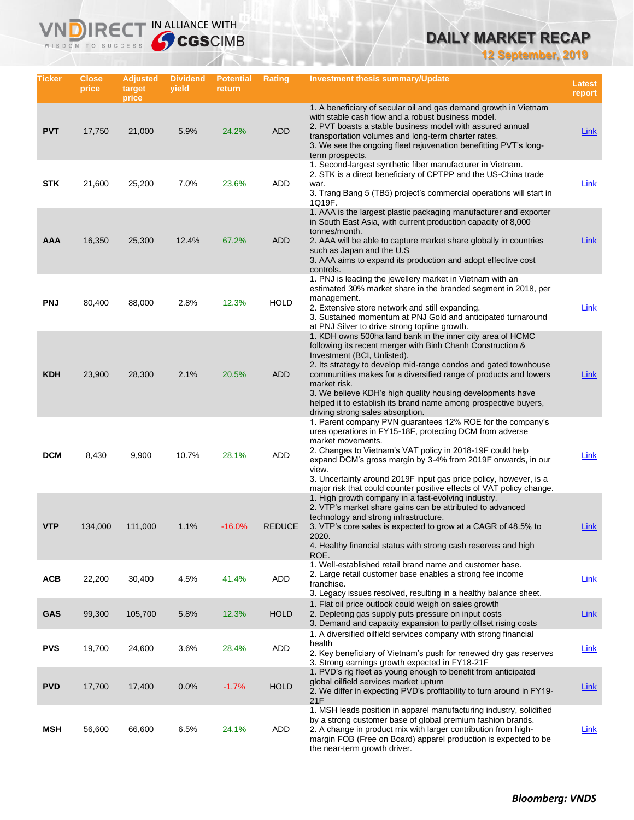**12 September, 2019**

| Ticker     | <b>Close</b><br>price | <b>Adjusted</b><br>target<br>price | <b>Dividend</b><br>yield | <b>Potential</b><br>return | Rating        | Investment thesis summary/Update                                                                                                                                                                                                                                                                                                                                                                                                                                                    | Latest<br>report |
|------------|-----------------------|------------------------------------|--------------------------|----------------------------|---------------|-------------------------------------------------------------------------------------------------------------------------------------------------------------------------------------------------------------------------------------------------------------------------------------------------------------------------------------------------------------------------------------------------------------------------------------------------------------------------------------|------------------|
| <b>PVT</b> | 17,750                | 21,000                             | 5.9%                     | 24.2%                      | <b>ADD</b>    | 1. A beneficiary of secular oil and gas demand growth in Vietnam<br>with stable cash flow and a robust business model.<br>2. PVT boasts a stable business model with assured annual<br>transportation volumes and long-term charter rates.<br>3. We see the ongoing fleet rejuvenation benefitting PVT's long-<br>term prospects.                                                                                                                                                   | Link             |
| <b>STK</b> | 21,600                | 25,200                             | 7.0%                     | 23.6%                      | ADD           | 1. Second-largest synthetic fiber manufacturer in Vietnam.<br>2. STK is a direct beneficiary of CPTPP and the US-China trade<br>war.<br>3. Trang Bang 5 (TB5) project's commercial operations will start in<br>1Q19F.                                                                                                                                                                                                                                                               | Link             |
| <b>AAA</b> | 16,350                | 25,300                             | 12.4%                    | 67.2%                      | <b>ADD</b>    | 1. AAA is the largest plastic packaging manufacturer and exporter<br>in South East Asia, with current production capacity of 8,000<br>tonnes/month.<br>2. AAA will be able to capture market share globally in countries<br>such as Japan and the U.S.<br>3. AAA aims to expand its production and adopt effective cost<br>controls.                                                                                                                                                | Link             |
| <b>PNJ</b> | 80,400                | 88,000                             | 2.8%                     | 12.3%                      | <b>HOLD</b>   | 1. PNJ is leading the jewellery market in Vietnam with an<br>estimated 30% market share in the branded segment in 2018, per<br>management.<br>2. Extensive store network and still expanding.<br>3. Sustained momentum at PNJ Gold and anticipated turnaround<br>at PNJ Silver to drive strong topline growth.                                                                                                                                                                      | <b>Link</b>      |
| <b>KDH</b> | 23,900                | 28,300                             | 2.1%                     | 20.5%                      | <b>ADD</b>    | 1. KDH owns 500ha land bank in the inner city area of HCMC<br>following its recent merger with Binh Chanh Construction &<br>Investment (BCI, Unlisted).<br>2. Its strategy to develop mid-range condos and gated townhouse<br>communities makes for a diversified range of products and lowers<br>market risk.<br>3. We believe KDH's high quality housing developments have<br>helped it to establish its brand name among prospective buyers,<br>driving strong sales absorption. | Link             |
| <b>DCM</b> | 8,430                 | 9,900                              | 10.7%                    | 28.1%                      | ADD           | 1. Parent company PVN guarantees 12% ROE for the company's<br>urea operations in FY15-18F, protecting DCM from adverse<br>market movements.<br>2. Changes to Vietnam's VAT policy in 2018-19F could help<br>expand DCM's gross margin by 3-4% from 2019F onwards, in our<br>view.<br>3. Uncertainty around 2019F input gas price policy, however, is a<br>major risk that could counter positive effects of VAT policy change.                                                      | Link             |
| <b>VTP</b> | 134,000               | 111,000                            | 1.1%                     | $-16.0%$                   | <b>REDUCE</b> | 1. High growth company in a fast-evolving industry.<br>2. VTP's market share gains can be attributed to advanced<br>technology and strong infrastructure.<br>3. VTP's core sales is expected to grow at a CAGR of 48.5% to<br>2020.<br>4. Healthy financial status with strong cash reserves and high<br>ROE.                                                                                                                                                                       | Link             |
| <b>ACB</b> | 22,200                | 30,400                             | 4.5%                     | 41.4%                      | ADD           | 1. Well-established retail brand name and customer base.<br>2. Large retail customer base enables a strong fee income<br>franchise.<br>3. Legacy issues resolved, resulting in a healthy balance sheet.                                                                                                                                                                                                                                                                             | <b>Link</b>      |
| <b>GAS</b> | 99,300                | 105,700                            | 5.8%                     | 12.3%                      | <b>HOLD</b>   | 1. Flat oil price outlook could weigh on sales growth<br>2. Depleting gas supply puts pressure on input costs<br>3. Demand and capacity expansion to partly offset rising costs                                                                                                                                                                                                                                                                                                     | <b>Link</b>      |
| <b>PVS</b> | 19,700                | 24,600                             | 3.6%                     | 28.4%                      | ADD           | 1. A diversified oilfield services company with strong financial<br>health<br>2. Key beneficiary of Vietnam's push for renewed dry gas reserves<br>3. Strong earnings growth expected in FY18-21F                                                                                                                                                                                                                                                                                   | Link             |
| <b>PVD</b> | 17,700                | 17,400                             | 0.0%                     | $-1.7%$                    | <b>HOLD</b>   | 1. PVD's rig fleet as young enough to benefit from anticipated<br>global oilfield services market upturn<br>2. We differ in expecting PVD's profitability to turn around in FY19-<br>21F                                                                                                                                                                                                                                                                                            | <b>Link</b>      |
| MSH        | 56,600                | 66,600                             | 6.5%                     | 24.1%                      | ADD           | 1. MSH leads position in apparel manufacturing industry, solidified<br>by a strong customer base of global premium fashion brands.<br>2. A change in product mix with larger contribution from high-<br>margin FOB (Free on Board) apparel production is expected to be<br>the near-term growth driver.                                                                                                                                                                             | <b>Link</b>      |

**VNDIRECT IN ALLIANCE WITH** 

WISDOM TO SUCCESS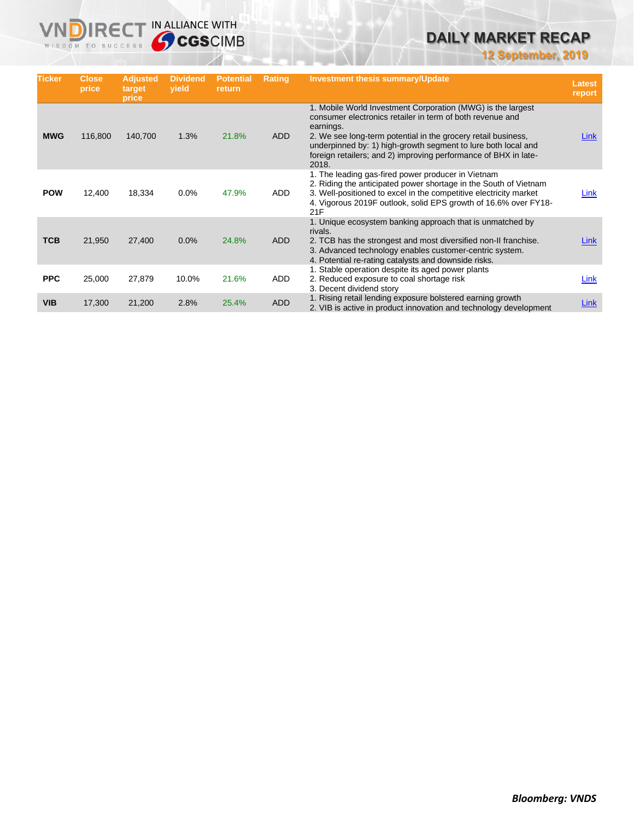**12 September, 2019**

| <b>Ticker</b> | Close,<br>price | <b>Adjusted</b><br>target<br>price | <b>Dividend</b><br>yield | <b>Potential</b><br>return | <b>Rating</b> | <b>Investment thesis summary/Update</b>                                                                                                                                                                                                                                                                                                             | <b>Latest</b><br>report |
|---------------|-----------------|------------------------------------|--------------------------|----------------------------|---------------|-----------------------------------------------------------------------------------------------------------------------------------------------------------------------------------------------------------------------------------------------------------------------------------------------------------------------------------------------------|-------------------------|
| <b>MWG</b>    | 116,800         | 140,700                            | 1.3%                     | 21.8%                      | <b>ADD</b>    | 1. Mobile World Investment Corporation (MWG) is the largest<br>consumer electronics retailer in term of both revenue and<br>earnings.<br>2. We see long-term potential in the grocery retail business,<br>underpinned by: 1) high-growth segment to lure both local and<br>foreign retailers; and 2) improving performance of BHX in late-<br>2018. | Link                    |
| <b>POW</b>    | 12,400          | 18,334                             | 0.0%                     | 47.9%                      | ADD           | 1. The leading gas-fired power producer in Vietnam<br>2. Riding the anticipated power shortage in the South of Vietnam<br>3. Well-positioned to excel in the competitive electricity market<br>4. Vigorous 2019F outlook, solid EPS growth of 16.6% over FY18-<br>21F                                                                               | Link                    |
| <b>TCB</b>    | 21,950          | 27,400                             | 0.0%                     | 24.8%                      | <b>ADD</b>    | 1. Unique ecosystem banking approach that is unmatched by<br>rivals.<br>2. TCB has the strongest and most diversified non-II franchise.<br>3. Advanced technology enables customer-centric system.<br>4. Potential re-rating catalysts and downside risks.                                                                                          | Link                    |
| <b>PPC</b>    | 25,000          | 27,879                             | 10.0%                    | 21.6%                      | ADD           | 1. Stable operation despite its aged power plants<br>2. Reduced exposure to coal shortage risk<br>3. Decent dividend story                                                                                                                                                                                                                          | Link                    |
| <b>VIB</b>    | 17,300          | 21,200                             | 2.8%                     | 25.4%                      | <b>ADD</b>    | 1. Rising retail lending exposure bolstered earning growth<br>2. VIB is active in product innovation and technology development                                                                                                                                                                                                                     | <b>Link</b>             |

**VNDIRECT IN ALLIANCE WITH**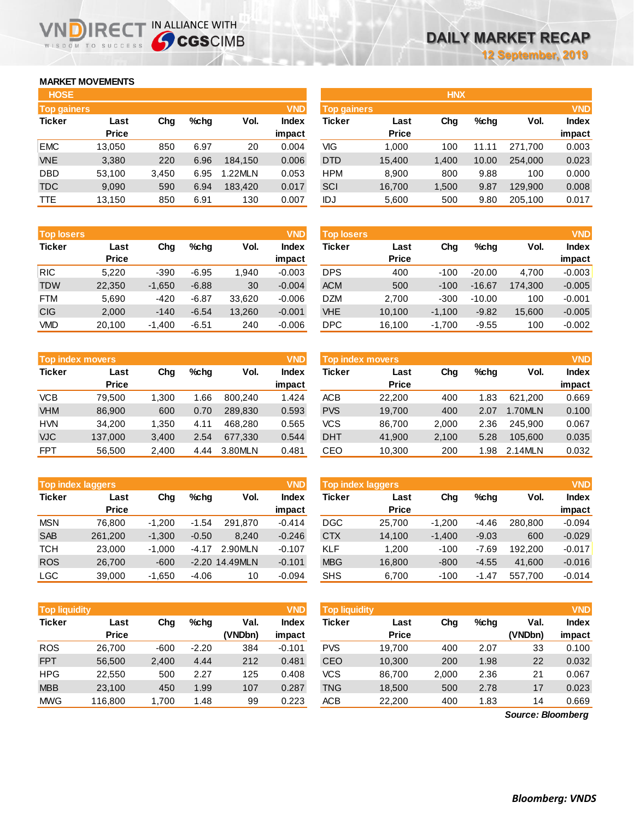### **MARKET MOVEMENTS**

WISDOM TO SUCCESS

| <b>HOSE</b>        |              |       |      |         |            |                    |              | <b>HNX</b> |         |         |              |
|--------------------|--------------|-------|------|---------|------------|--------------------|--------------|------------|---------|---------|--------------|
| <b>Top gainers</b> |              |       |      |         | <b>VND</b> | <b>Top gainers</b> |              |            |         |         | <b>VND</b>   |
| <b>Ticker</b>      | Last         | Chg   | %chq | Vol.    | Index      | Ticker             | Last         | Chg        | $%$ chq | Vol.    | <b>Index</b> |
|                    | <b>Price</b> |       |      |         | impact     |                    | <b>Price</b> |            |         |         | impact       |
| <b>EMC</b>         | 13,050       | 850   | 6.97 | 20      | 0.004      | VIG                | 1.000        | 100        | 11.11   | 271.700 | 0.003        |
| <b>VNE</b>         | 3,380        | 220   | 6.96 | 184.150 | 0.006      | <b>DTD</b>         | 15,400       | 1,400      | 10.00   | 254,000 | 0.023        |
| <b>DBD</b>         | 53,100       | 3,450 | 6.95 | .22MLN  | 0.053      | <b>HPM</b>         | 8.900        | 800        | 9.88    | 100     | 0.000        |
| <b>TDC</b>         | 9,090        | 590   | 6.94 | 183.420 | 0.017      | SCI                | 16,700       | 1,500      | 9.87    | 129,900 | 0.008        |
| <b>TTE</b>         | 13,150       | 850   | 6.91 | 130     | 0.007      | IDJ                | 5,600        | 500        | 9.80    | 205,100 | 0.017        |
|                    |              |       |      |         |            |                    |              |            |         |         |              |

**VNDIRECT IN ALLIANCE WITH** 

| Top gainers |              |       |         |         | VND          | Top gainers   |              |       |         |         | <b>VND</b> |
|-------------|--------------|-------|---------|---------|--------------|---------------|--------------|-------|---------|---------|------------|
| Ticker      | Last         | Chg   | $%$ chg | Vol.    | <b>Index</b> | <b>Ticker</b> | Last         | Chg   | $%$ chq | Vol.    | Index      |
|             | <b>Price</b> |       |         |         | impact       |               | <b>Price</b> |       |         |         | impact     |
| <b>EMC</b>  | 13.050       | 850   | 6.97    | 20      | 0.004        | VIG           | 1.000        | 100   | 11.11   | 271.700 | 0.003      |
| <b>VNE</b>  | 3,380        | 220   | 6.96    | 184.150 | 0.006        | <b>DTD</b>    | 15.400       | 1.400 | 10.00   | 254,000 | 0.023      |
| DBD         | 53,100       | 3.450 | 6.95    | 1.22MLN | 0.053        | <b>HPM</b>    | 8.900        | 800   | 9.88    | 100     | 0.000      |
| TDC         | 9,090        | 590   | 6.94    | 183.420 | 0.017        | SCI           | 16.700       | 1,500 | 9.87    | 129,900 | 0.008      |
| TTE         | 13,150       | 850   | 6.91    | 130     | 0.007        | IDJ           | 5,600        | 500   | 9.80    | 205,100 | 0.017      |
|             |              |       |         |         |              |               |              |       |         |         |            |

| <b>Top losers</b> |              |          |         |        | <b>VND</b> | <b>Top losers</b> |              |          |          |         | <b>VND</b> |
|-------------------|--------------|----------|---------|--------|------------|-------------------|--------------|----------|----------|---------|------------|
| <b>Ticker</b>     | Last         | Chg      | $%$ chq | Vol.   | Index      | Ticker            | Last         | Chg      | %chq     | Vol.    | Index      |
|                   | <b>Price</b> |          |         |        | impact     |                   | <b>Price</b> |          |          |         | impact     |
| <b>RIC</b>        | 5.220        | $-390$   | $-6.95$ | 1.940  | $-0.003$   | <b>DPS</b>        | 400          | $-100$   | $-20.00$ | 4.700   | $-0.003$   |
| <b>TDW</b>        | 22,350       | $-1,650$ | $-6.88$ | 30     | $-0.004$   | <b>ACM</b>        | 500          | $-100$   | $-16.67$ | 174,300 | $-0.005$   |
| <b>FTM</b>        | 5.690        | $-420$   | $-6.87$ | 33.620 | $-0.006$   | <b>DZM</b>        | 2.700        | $-300$   | $-10.00$ | 100     | $-0.001$   |
| <b>CIG</b>        | 2,000        | $-140$   | $-6.54$ | 13,260 | $-0.001$   | <b>VHE</b>        | 10.100       | $-1.100$ | $-9.82$  | 15.600  | $-0.005$   |
| <b>VMD</b>        | 20,100       | $-1.400$ | $-6.51$ | 240    | $-0.006$   | DPC               | 16.100       | $-1,700$ | $-9.55$  | 100     | $-0.002$   |

| <b>Top index movers</b> |                      |       |         |         | <b>VND</b>      | Top index movers |                      |       |         |         | <b>VND</b>      |
|-------------------------|----------------------|-------|---------|---------|-----------------|------------------|----------------------|-------|---------|---------|-----------------|
| <b>Ticker</b>           | Last<br><b>Price</b> | Chg   | $%$ chq | Vol.    | Index<br>impact | <b>Ticker</b>    | Last<br><b>Price</b> | Chg   | $%$ chq | Vol.    | Index<br>impact |
| <b>VCB</b>              | 79.500               | .300  | .66     | 800.240 | 1.424           | <b>ACB</b>       | 22,200               | 400   | 1.83    | 621.200 | 0.669           |
| <b>VHM</b>              | 86,900               | 600   | 0.70    | 289.830 | 0.593           | <b>PVS</b>       | 19.700               | 400   | 2.07    | 1.70MLN | 0.100           |
| <b>HVN</b>              | 34.200               | 1.350 | 4.11    | 468.280 | 0.565           | VCS              | 86.700               | 2,000 | 2.36    | 245.900 | 0.067           |
| <b>VJC</b>              | 137,000              | 3,400 | 2.54    | 677.330 | 0.544           | <b>DHT</b>       | 41,900               | 2,100 | 5.28    | 105.600 | 0.035           |
| <b>FPT</b>              | 56.500               | 2.400 | 4.44    | 3.80MLN | 0.481           | CEO              | 10.300               | 200   | 1.98    | 2.14MLN | 0.032           |

| <b>VND</b><br><b>Top index laggers</b> |              |          |         |                  |              |  |  |  |  |  |  |  |
|----------------------------------------|--------------|----------|---------|------------------|--------------|--|--|--|--|--|--|--|
| <b>Ticker</b>                          | Last         | Cha      | %chq    | Vol.             | <b>Index</b> |  |  |  |  |  |  |  |
|                                        | <b>Price</b> |          |         |                  | impact       |  |  |  |  |  |  |  |
| <b>MSN</b>                             | 76,800       | $-1,200$ | $-1.54$ | 291.870          | $-0.414$     |  |  |  |  |  |  |  |
| <b>SAB</b>                             | 261,200      | $-1,300$ | $-0.50$ | 8.240            | $-0.246$     |  |  |  |  |  |  |  |
| <b>TCH</b>                             | 23,000       | $-1,000$ | $-4.17$ | 2.90MLN          | $-0.107$     |  |  |  |  |  |  |  |
| <b>ROS</b>                             | 26,700       | $-600$   |         | $-2.20$ 14.49MLN | $-0.101$     |  |  |  |  |  |  |  |
| <b>LGC</b>                             | 39,000       | $-1,650$ | -4.06   | 10               | $-0.094$     |  |  |  |  |  |  |  |

|            | <b>Top index movers</b> |       |         |         | <b>VND</b>   | <b>VND</b><br><b>Top index movers</b> |              |       |         |         |              |  |  |
|------------|-------------------------|-------|---------|---------|--------------|---------------------------------------|--------------|-------|---------|---------|--------------|--|--|
| Ticker     | Last                    | Chg   | $%$ chq | Vol.    | <b>Index</b> | Ticker                                | Last         | Chg   | $%$ chg | Vol.    | <b>Index</b> |  |  |
|            | <b>Price</b>            |       |         |         | impact       |                                       | <b>Price</b> |       |         |         | impact       |  |  |
| VCB        | 79,500                  | 1,300 | 1.66    | 800.240 | 1.424        | ACB                                   | 22,200       | 400   | 1.83    | 621.200 | 0.669        |  |  |
| <b>VHM</b> | 86,900                  | 600   | 0.70    | 289,830 | 0.593        | <b>PVS</b>                            | 19,700       | 400   | 2.07    | 1.70MLN | 0.100        |  |  |
| <b>HVN</b> | 34,200                  | 1,350 | 4.11    | 468.280 | 0.565        | <b>VCS</b>                            | 86,700       | 2,000 | 2.36    | 245.900 | 0.067        |  |  |
| <b>VJC</b> | 137,000                 | 3,400 | 2.54    | 677,330 | 0.544        | <b>DHT</b>                            | 41,900       | 2,100 | 5.28    | 105,600 | 0.035        |  |  |
| <b>FPT</b> | 56.500                  | 2.400 | 4.44    | 3.80MLN | 0.481        | CEO                                   | 10.300       | 200   | 1.98    | 2.14MLN | 0.032        |  |  |

| <b>VND</b><br><b>Top index laggers</b> |              |          |         |                  |              | <b>Top index laggers</b> |              |          |         |         |              |  |
|----------------------------------------|--------------|----------|---------|------------------|--------------|--------------------------|--------------|----------|---------|---------|--------------|--|
| Ticker                                 | Last         | Chg      | $%$ chq | Vol.             | <b>Index</b> | Ticker                   | Last         | Chg      | $%$ chq | Vol.    | <b>Index</b> |  |
|                                        | <b>Price</b> |          |         |                  | impact       |                          | <b>Price</b> |          |         |         | impact       |  |
| <b>MSN</b>                             | 76.800       | $-1.200$ | $-1.54$ | 291.870          | $-0.414$     | <b>DGC</b>               | 25,700       | $-1.200$ | $-4.46$ | 280.800 | $-0.094$     |  |
| <b>SAB</b>                             | 261,200      | $-1,300$ | $-0.50$ | 8,240            | $-0.246$     | <b>CTX</b>               | 14,100       | $-1,400$ | $-9.03$ | 600     | $-0.029$     |  |
| тсн                                    | 23,000       | $-1.000$ | $-4.17$ | 2.90MLN          | $-0.107$     | <b>KLF</b>               | 1.200        | $-100$   | $-7.69$ | 192.200 | $-0.017$     |  |
| <b>ROS</b>                             | 26,700       | $-600$   |         | $-2.20$ 14.49MLN | $-0.101$     | <b>MBG</b>               | 16,800       | $-800$   | $-4.55$ | 41,600  | $-0.016$     |  |
| LGC                                    | 39,000       | $-1,650$ | $-4.06$ | 10               | $-0.094$     | <b>SHS</b>               | 6,700        | $-100$   | $-1.47$ | 557,700 | $-0.014$     |  |
|                                        |              |          |         |                  |              |                          |              |          |         |         |              |  |

| <b>Top liquidity</b> |              |        |         |         | <b>VND</b>   | <b>Top liquidity</b> |              |       |      |                   | <b>VND</b>   |
|----------------------|--------------|--------|---------|---------|--------------|----------------------|--------------|-------|------|-------------------|--------------|
| Ticker               | Last         | Chg    | %chq    | Val.    | <b>Index</b> | Ticker               | Last         | Chg   | %chq | Val.              | <b>Index</b> |
|                      | <b>Price</b> |        |         | (VNDbn) | impact       |                      | <b>Price</b> |       |      | (VNDbn)           | impact       |
| ROS                  | 26.700       | $-600$ | $-2.20$ | 384     | $-0.101$     | <b>PVS</b>           | 19.700       | 400   | 2.07 | 33                | 0.100        |
| <b>FPT</b>           | 56,500       | 2,400  | 4.44    | 212     | 0.481        | <b>CEO</b>           | 10,300       | 200   | 1.98 | 22                | 0.032        |
| HPG                  | 22,550       | 500    | 2.27    | 125     | 0.408        | <b>VCS</b>           | 86.700       | 2,000 | 2.36 | 21                | 0.067        |
| <b>MBB</b>           | 23,100       | 450    | 1.99    | 107     | 0.287        | <b>TNG</b>           | 18,500       | 500   | 2.78 | 17                | 0.023        |
| <b>MWG</b>           | 116,800      | 1,700  | 1.48    | 99      | 0.223        | <b>ACB</b>           | 22,200       | 400   | 1.83 | 14                | 0.669        |
|                      |              |        |         |         |              |                      |              |       |      | Source: Bloomberg |              |

*Source: Bloomberg*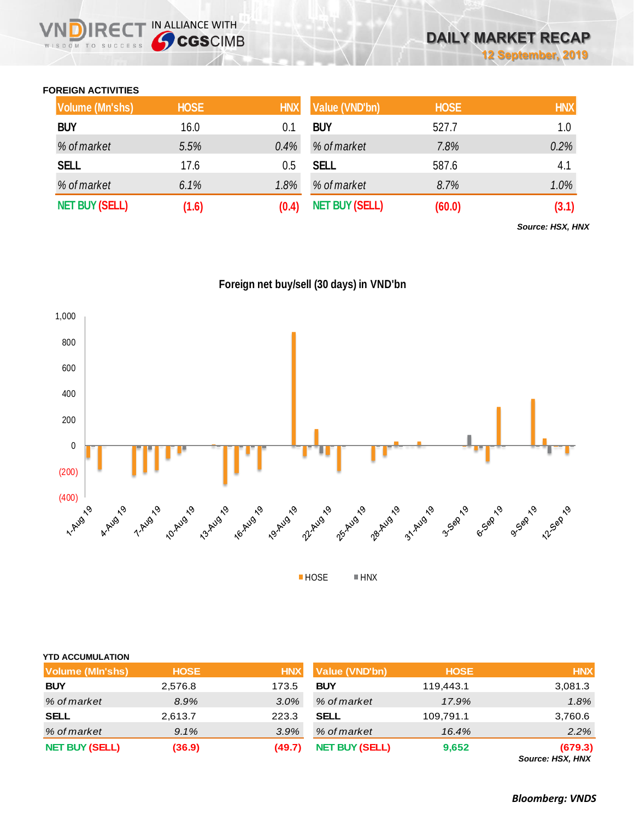#### **FOREIGN ACTIVITIES**

WISDOM TO SUCCESS

IN ALLIANCE WITH

| <b>Volume (Mn'shs)</b> | <b>HOSE</b> | <b>HNX</b> | Value (VND'bn)        | <b>HOSE</b> | <b>HNX</b> |
|------------------------|-------------|------------|-----------------------|-------------|------------|
| <b>BUY</b>             | 16.0        | 0.1        | <b>BUY</b>            | 527.7       | 1.0        |
| % of market            | 5.5%        | $0.4\%$    | % of market           | 7.8%        | 0.2%       |
| <b>SELL</b>            | 17.6        | 0.5        | <b>SELL</b>           | 587.6       | 4.1        |
| % of market            | 6.1%        | 1.8%       | % of market           | 8.7%        | 1.0%       |
| <b>NET BUY (SELL)</b>  | (1.6)       | (0.4)      | <b>NET BUY (SELL)</b> | (60.0)      | (3.1)      |

*Source: HSX, HNX*





| <b>Volume (MIn'shs)</b> | <b>HOSE</b> | <b>HNX</b> | Value (VND'bn)        | <b>HOSE</b> | <b>HNX</b>                  |
|-------------------------|-------------|------------|-----------------------|-------------|-----------------------------|
| <b>BUY</b>              | 2,576.8     | 173.5      | <b>BUY</b>            | 119,443.1   | 3,081.3                     |
| % of market             | 8.9%        | $3.0\%$    | % of market           | 17.9%       | 1.8%                        |
| <b>SELL</b>             | 2,613.7     | 223.3      | <b>SELL</b>           | 109,791.1   | 3,760.6                     |
| % of market             | 9.1%        | 3.9%       | % of market           | 16.4%       | 2.2%                        |
| <b>NET BUY (SELL)</b>   | (36.9)      | (49.7)     | <b>NET BUY (SELL)</b> | 9,652       | (679.3)<br>Source: HSX, HNX |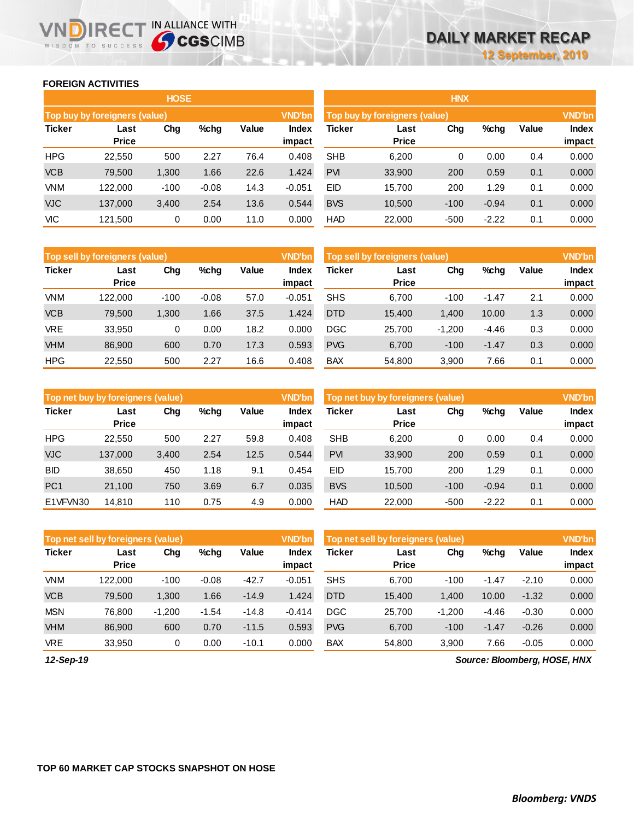#### **FOREIGN ACTIVITIES**

WISDOM TO SUCCESS

ח

|               |                               | <b>HOSE</b> |         |       |               | <b>HNX</b>                                     |              |        |         |       |        |  |
|---------------|-------------------------------|-------------|---------|-------|---------------|------------------------------------------------|--------------|--------|---------|-------|--------|--|
|               | Top buy by foreigners (value) |             |         |       | <b>VND'bn</b> | <b>VND'bn</b><br>Top buy by foreigners (value) |              |        |         |       |        |  |
| <b>Ticker</b> | $%$ chg<br>Chg<br>Last        |             |         | Value | <b>Index</b>  | Ticker                                         | Last         | Chg    | %chg    | Value | Index  |  |
|               | <b>Price</b>                  |             |         |       | impact        |                                                | <b>Price</b> |        |         |       | impact |  |
| <b>HPG</b>    | 22,550                        | 500         | 2.27    | 76.4  | 0.408         | <b>SHB</b>                                     | 6,200        | 0      | 0.00    | 0.4   | 0.000  |  |
| <b>VCB</b>    | 79,500                        | 1,300       | 1.66    | 22.6  | 1.424         | <b>PVI</b>                                     | 33,900       | 200    | 0.59    | 0.1   | 0.000  |  |
| <b>VNM</b>    | 122,000                       | $-100$      | $-0.08$ | 14.3  | $-0.051$      | EID                                            | 15,700       | 200    | 1.29    | 0.1   | 0.000  |  |
| <b>VJC</b>    | 137,000                       | 3,400       | 2.54    | 13.6  | 0.544         | <b>BVS</b>                                     | 10,500       | $-100$ | $-0.94$ | 0.1   | 0.000  |  |
| VIC           | 121,500                       | 0           | 0.00    | 11.0  | 0.000         | <b>HAD</b>                                     | 22,000       | $-500$ | $-2.22$ | 0.1   | 0.000  |  |

IRECT IN ALLIANCE WITH

|               | <b>HNX</b>                    |        |         |       |              |  |  |  |  |  |  |  |  |
|---------------|-------------------------------|--------|---------|-------|--------------|--|--|--|--|--|--|--|--|
|               | Top buy by foreigners (value) |        |         |       |              |  |  |  |  |  |  |  |  |
| <b>Ticker</b> | Last                          | Chg    | %chq    | Value | <b>Index</b> |  |  |  |  |  |  |  |  |
|               | <b>Price</b>                  |        |         |       | impact       |  |  |  |  |  |  |  |  |
| <b>SHB</b>    | 6,200                         | 0      | 0.00    | 0.4   | 0.000        |  |  |  |  |  |  |  |  |
| <b>PVI</b>    | 33,900                        | 200    | 0.59    | 0.1   | 0.000        |  |  |  |  |  |  |  |  |
| EID           | 15,700                        | 200    | 1.29    | 0.1   | 0.000        |  |  |  |  |  |  |  |  |
| <b>BVS</b>    | 10,500                        | $-100$ | $-0.94$ | 0.1   | 0.000        |  |  |  |  |  |  |  |  |
| <b>HAD</b>    | 22,000                        | -500   | $-2.22$ | 0.1   | 0.000        |  |  |  |  |  |  |  |  |

|               | Top sell by foreigners (value) |        |         |       | <b>VND'bn</b>          | <b>VND'bn</b><br>Top sell by foreigners (value) |                      |          |         |       |                        |
|---------------|--------------------------------|--------|---------|-------|------------------------|-------------------------------------------------|----------------------|----------|---------|-------|------------------------|
| <b>Ticker</b> | Last<br><b>Price</b>           | Chg    | %chg    | Value | <b>Index</b><br>impact | <b>Ticker</b>                                   | Last<br><b>Price</b> | Chg      | %chg    | Value | <b>Index</b><br>impact |
| <b>VNM</b>    | 122.000                        | $-100$ | $-0.08$ | 57.0  | $-0.051$               | <b>SHS</b>                                      | 6.700                | $-100$   | $-1.47$ | 2.1   | 0.000                  |
| <b>VCB</b>    | 79,500                         | 1,300  | 1.66    | 37.5  | 1.424                  | <b>DTD</b>                                      | 15,400               | 1.400    | 10.00   | 1.3   | 0.000                  |
| <b>VRE</b>    | 33,950                         | 0      | 0.00    | 18.2  | 0.000                  | <b>DGC</b>                                      | 25,700               | $-1,200$ | $-4.46$ | 0.3   | 0.000                  |
| <b>VHM</b>    | 86,900                         | 600    | 0.70    | 17.3  | 0.593                  | <b>PVG</b>                                      | 6,700                | $-100$   | $-1.47$ | 0.3   | 0.000                  |
| <b>HPG</b>    | 22,550                         | 500    | 2.27    | 16.6  | 0.408                  | <b>BAX</b>                                      | 54,800               | 3,900    | 7.66    | 0.1   | 0.000                  |

|                 | Top net buy by foreigners (value) |       |         |       | <b>VND'bn</b>   | <b>VND'bn</b><br>Top net buy by foreigners (value) |                      |        |         |       |                        |
|-----------------|-----------------------------------|-------|---------|-------|-----------------|----------------------------------------------------|----------------------|--------|---------|-------|------------------------|
| <b>Ticker</b>   | Last<br><b>Price</b>              | Chg   | $%$ chq | Value | Index<br>impact | Ticker                                             | Last<br><b>Price</b> | Chg    | %chg    | Value | <b>Index</b><br>impact |
| <b>HPG</b>      | 22,550                            | 500   | 2.27    | 59.8  | 0.408           | <b>SHB</b>                                         | 6.200                | 0      | 0.00    | 0.4   | 0.000                  |
| <b>VJC</b>      | 137,000                           | 3,400 | 2.54    | 12.5  | 0.544           | <b>PVI</b>                                         | 33,900               | 200    | 0.59    | 0.1   | 0.000                  |
| <b>BID</b>      | 38,650                            | 450   | 1.18    | 9.1   | 0.454           | <b>EID</b>                                         | 15.700               | 200    | 1.29    | 0.1   | 0.000                  |
| PC <sub>1</sub> | 21,100                            | 750   | 3.69    | 6.7   | 0.035           | <b>BVS</b>                                         | 10,500               | $-100$ | $-0.94$ | 0.1   | 0.000                  |
| E1VFVN30        | 14.810                            | 110   | 0.75    | 4.9   | 0.000           | <b>HAD</b>                                         | 22,000               | $-500$ | $-2.22$ | 0.1   | 0.000                  |

|               | Top net sell by foreigners (value) |          |         |         | <b>VND'bn</b>   | Top net sell by foreigners (value) | <b>VND'bn</b>        |          |         |         |                        |
|---------------|------------------------------------|----------|---------|---------|-----------------|------------------------------------|----------------------|----------|---------|---------|------------------------|
| <b>Ticker</b> | Last<br><b>Price</b>               | Chg      | $%$ chg | Value   | Index<br>impact | Ticker                             | Last<br><b>Price</b> | Chg      | %chg    | Value   | <b>Index</b><br>impact |
| <b>VNM</b>    | 122.000                            | $-100$   | $-0.08$ | $-42.7$ | $-0.051$        | <b>SHS</b>                         | 6.700                | $-100$   | -1.47   | $-2.10$ | 0.000                  |
| <b>VCB</b>    | 79.500                             | 1,300    | 1.66    | $-14.9$ | 1.424           | <b>DTD</b>                         | 15,400               | 1,400    | 10.00   | $-1.32$ | 0.000                  |
| <b>MSN</b>    | 76.800                             | $-1.200$ | $-1.54$ | $-14.8$ | $-0.414$        | <b>DGC</b>                         | 25.700               | $-1.200$ | $-4.46$ | $-0.30$ | 0.000                  |
| <b>VHM</b>    | 86,900                             | 600      | 0.70    | $-11.5$ | 0.593           | <b>PVG</b>                         | 6,700                | $-100$   | $-1.47$ | $-0.26$ | 0.000                  |
| <b>VRE</b>    | 33,950                             | 0        | 0.00    | $-10.1$ | 0.000           | <b>BAX</b>                         | 54,800               | 3,900    | 7.66    | $-0.05$ | 0.000                  |

*12-Sep-19*

*Source: Bloomberg, HOSE, HNX*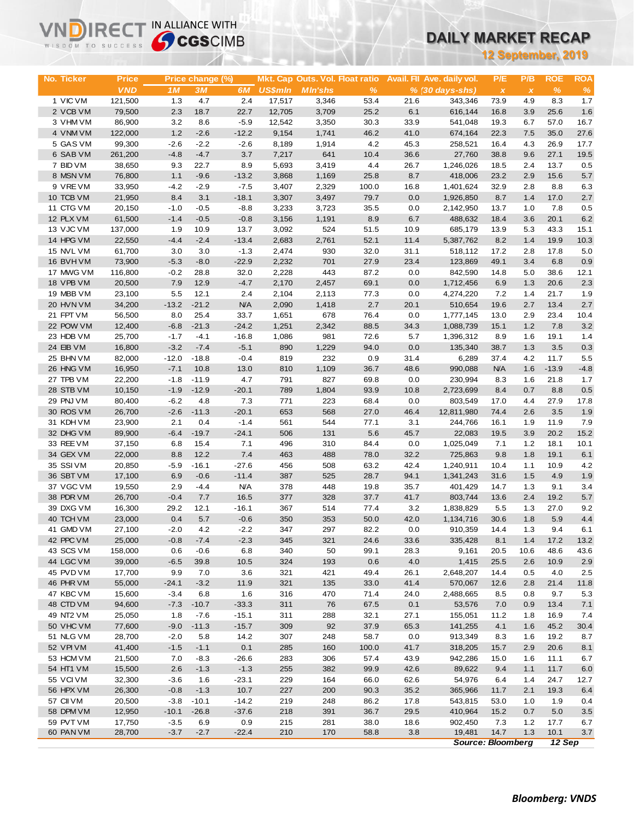| WISDOM TO SUCCESS      |                   | <b>Sy CGS</b> CIMB |                    |                    |                |                                 |              |              | UAILT MARNET RECAP         |                          |              |              |             |
|------------------------|-------------------|--------------------|--------------------|--------------------|----------------|---------------------------------|--------------|--------------|----------------------------|--------------------------|--------------|--------------|-------------|
|                        |                   |                    |                    |                    |                |                                 |              |              |                            | 12 September, 2019       |              |              |             |
|                        |                   |                    |                    |                    |                |                                 |              |              |                            |                          |              |              |             |
| No. Ticker             | <b>Price</b>      |                    | Price change (%)   |                    |                | Mkt. Cap Outs. Vol. Float ratio |              |              | Avail. Fil Ave. daily vol. | P/E                      | P/B          | <b>ROE</b>   | <b>ROA</b>  |
|                        | <b>VND</b>        | 1M                 | 3M                 | 6M                 | <b>US\$mln</b> | <b>MIn'shs</b>                  | %            |              | $% (30 days-shs)$          | $\pmb{\chi}$             | $\pmb{\chi}$ | $\%$         | $\%$        |
| 1 VIC VM               | 121,500           | 1.3                | 4.7                | 2.4                | 17,517         | 3,346                           | 53.4         | 21.6         | 343,346                    | 73.9                     | 4.9          | 8.3          | 1.7         |
| 2 VCB VM               | 79,500            | 2.3                | 18.7               | 22.7               | 12,705         | 3,709                           | 25.2         | 6.1          | 616,144                    | 16.8                     | 3.9          | 25.6         | 1.6         |
| 3 VHM VM               | 86,900            | 3.2                | 8.6                | $-5.9$             | 12,542         | 3,350                           | 30.3         | 33.9         | 541,048                    | 19.3                     | 6.7          | 57.0         | 16.7        |
| 4 VNM VM               | 122,000           | 1.2                | $-2.6$             | $-12.2$            | 9,154          | 1,741                           | 46.2         | 41.0         | 674,164                    | 22.3                     | 7.5          | 35.0         | 27.6        |
| 5 GAS VM               | 99,300            | $-2.6$<br>$-4.8$   | $-2.2$<br>$-4.7$   | $-2.6$             | 8,189          | 1,914                           | 4.2<br>10.4  | 45.3         | 258,521                    | 16.4                     | 4.3<br>9.6   | 26.9<br>27.1 | 17.7        |
| 6 SAB VM<br>7 BID VM   | 261,200<br>38,650 | 9.3                | 22.7               | 3.7<br>8.9         | 7,217<br>5,693 | 641<br>3,419                    | 4.4          | 36.6<br>26.7 | 27,760<br>1,246,026        | 38.8<br>18.5             | 2.4          | 13.7         | 19.5<br>0.5 |
| 8 MSN VM               | 76,800            | 1.1                | $-9.6$             | $-13.2$            | 3,868          | 1,169                           | 25.8         | 8.7          | 418,006                    | 23.2                     | 2.9          | 15.6         | 5.7         |
| 9 VREVM                | 33,950            | $-4.2$             | $-2.9$             | $-7.5$             | 3,407          | 2,329                           | 100.0        | 16.8         | 1,401,624                  | 32.9                     | 2.8          | 8.8          | 6.3         |
| 10 TCB VM              | 21,950            | 8.4                | 3.1                | $-18.1$            | 3,307          | 3,497                           | 79.7         | 0.0          | 1,926,850                  | 8.7                      | 1.4          | 17.0         | 2.7         |
| 11 CTG VM              | 20,150            | $-1.0$             | $-0.5$             | $-8.8$             | 3,233          | 3,723                           | 35.5         | 0.0          | 2,142,950                  | 13.7                     | 1.0          | 7.8          | 0.5         |
| 12 PLX VM              | 61,500            | $-1.4$             | $-0.5$             | $-0.8$             | 3,156          | 1,191                           | 8.9          | 6.7          | 488,632                    | 18.4                     | 3.6          | 20.1         | 6.2         |
| 13 VJC VM              | 137,000           | 1.9                | 10.9               | 13.7               | 3,092          | 524                             | 51.5         | 10.9         | 685,179                    | 13.9                     | 5.3          | 43.3         | 15.1        |
| 14 HPG VM              | 22,550            | $-4.4$             | $-2.4$             | $-13.4$            | 2,683          | 2,761                           | 52.1         | 11.4         | 5,387,762                  | 8.2                      | 1.4          | 19.9         | 10.3        |
| 15 NVL VM              | 61,700            | 3.0                | 3.0                | $-1.3$             | 2,474          | 930                             | 32.0         | 31.1         | 518,112                    | 17.2                     | 2.8          | 17.8         | 5.0         |
| 16 BVHVM               | 73,900            | $-5.3$             | $-8.0$             | $-22.9$            | 2,232          | 701                             | 27.9         | 23.4         | 123,869                    | 49.1                     | 3.4          | 6.8          | 0.9         |
| 17 MWG VM              | 116,800           | $-0.2$             | 28.8               | 32.0               | 2,228          | 443                             | 87.2         | 0.0          | 842,590                    | 14.8                     | 5.0          | 38.6         | 12.1        |
| 18 VPB VM              | 20,500            | 7.9                | 12.9               | $-4.7$             | 2,170          | 2,457                           | 69.1         | 0.0          | 1,712,456                  | 6.9                      | 1.3          | 20.6         | 2.3         |
| 19 MBB VM              | 23,100            | 5.5                | 12.1               | 2.4                | 2,104          | 2,113                           | 77.3         | 0.0          | 4,274,220                  | 7.2                      | 1.4          | 21.7         | 1.9         |
| 20 HVN VM              | 34,200            | $-13.2$            | $-21.2$            | <b>N/A</b>         | 2,090          | 1,418                           | 2.7          | 20.1         | 510,654                    | 19.6                     | 2.7          | 13.4         | 2.7         |
| 21 FPT VM              | 56,500            | 8.0                | 25.4               | 33.7               | 1,651          | 678                             | 76.4         | 0.0          | 1,777,145                  | 13.0                     | 2.9          | 23.4         | 10.4        |
| 22 POW VM<br>23 HDB VM | 12,400            | $-6.8$             | $-21.3$<br>$-4.1$  | $-24.2$<br>$-16.8$ | 1,251          | 2,342<br>981                    | 88.5         | 34.3<br>5.7  | 1,088,739                  | 15.1                     | 1.2<br>1.6   | 7.8          | 3.2         |
| 24 EIB VM              | 25,700<br>16,800  | $-1.7$<br>$-3.2$   | $-7.4$             | $-5.1$             | 1,086<br>890   | 1,229                           | 72.6<br>94.0 | 0.0          | 1,396,312<br>135,340       | 8.9<br>38.7              | 1.3          | 19.1<br>3.5  | 1.4<br>0.3  |
| 25 BHN VM              | 82,000            | $-12.0$            | $-18.8$            | $-0.4$             | 819            | 232                             | 0.9          | 31.4         | 6,289                      | 37.4                     | 4.2          | 11.7         | 5.5         |
| 26 HNG VM              | 16,950            | $-7.1$             | 10.8               | 13.0               | 810            | 1,109                           | 36.7         | 48.6         | 990,088                    | <b>N/A</b>               | 1.6          | $-13.9$      | $-4.8$      |
| 27 TPB VM              | 22,200            | $-1.8$             | $-11.9$            | 4.7                | 791            | 827                             | 69.8         | 0.0          | 230,994                    | 8.3                      | 1.6          | 21.8         | 1.7         |
| 28 STB VM              | 10,150            | $-1.9$             | $-12.9$            | $-20.1$            | 789            | 1,804                           | 93.9         | 10.8         | 2,723,699                  | 8.4                      | 0.7          | 8.8          | 0.5         |
| 29 PNJ VM              | 80,400            | $-6.2$             | 4.8                | 7.3                | 771            | 223                             | 68.4         | 0.0          | 803,549                    | 17.0                     | 4.4          | 27.9         | 17.8        |
| 30 ROS VM              | 26,700            | $-2.6$             | $-11.3$            | $-20.1$            | 653            | 568                             | 27.0         | 46.4         | 12,811,980                 | 74.4                     | 2.6          | 3.5          | 1.9         |
| 31 KDH VM              | 23,900            | 2.1                | 0.4                | $-1.4$             | 561            | 544                             | 77.1         | 3.1          | 244,766                    | 16.1                     | 1.9          | 11.9         | 7.9         |
| 32 DHG VM              | 89,900            | $-6.4$             | $-19.7$            | $-24.1$            | 506            | 131                             | 5.6          | 45.7         | 22,083                     | 19.5                     | 3.9          | 20.2         | 15.2        |
| 33 REE VM              | 37,150            | 6.8                | 15.4               | 7.1                | 496            | 310                             | 84.4         | 0.0          | 1,025,049                  | 7.1                      | 1.2          | 18.1         | 10.1        |
| 34 GEX VM              | 22,000            | 8.8                | 12.2               | 7.4                | 463            | 488                             | 78.0         | 32.2         | 725,863                    | 9.8                      | 1.8          | 19.1         | 6.1         |
| 35 SSIVM               | 20,850            | $-5.9$             | $-16.1$            | $-27.6$            | 456            | 508                             | 63.2         | 42.4         | 1,240,911                  | 10.4                     | 1.1          | 10.9         | 4.2         |
| 36 SBT VM              | 17,100            | 6.9                | $-0.6$             | $-11.4$            | 387            | 525                             | 28.7         | 94.1         | 1,341,243                  | 31.6                     | 1.5          | 4.9          | 1.9         |
| 37 VGC VM              | 19,550            | 2.9                | $-4.4$             | <b>N/A</b>         | 378            | 448                             | 19.8         | 35.7         | 401,429                    | 14.7                     | 1.3          | 9.1          | 3.4         |
| 38 PDR VM              | 26,700            | $-0.4$             | 7.7                | 16.5               | 377            | 328                             | 37.7         | 41.7         | 803,744                    | 13.6                     | 2.4          | 19.2         | 5.7         |
| 39 DXG VM<br>40 TCH VM | 16,300<br>23,000  | 29.2<br>0.4        | 12.1<br>5.7        | $-16.1$<br>$-0.6$  | 367<br>350     | 514<br>353                      | 77.4<br>50.0 | 3.2<br>42.0  | 1,838,829<br>1,134,716     | 5.5<br>30.6              | 1.3<br>1.8   | 27.0<br>5.9  | 9.2         |
| 41 GMD VM              | 27,100            | $-2.0$             | 4.2                | $-2.2$             | 347            | 297                             | 82.2         | 0.0          | 910,359                    | 14.4                     | 1.3          | 9.4          | 4.4<br>6.1  |
| 42 PPC VM              | 25,000            | $-0.8$             | $-7.4$             | $-2.3$             | 345            | 321                             | 24.6         | 33.6         | 335,428                    | 8.1                      | 1.4          | 17.2         | 13.2        |
| 43 SCS VM              | 158,000           | 0.6                | $-0.6$             | 6.8                | 340            | 50                              | 99.1         | 28.3         | 9,161                      | 20.5                     | 10.6         | 48.6         | 43.6        |
| 44 LGC VM              | 39,000            | $-6.5$             | 39.8               | 10.5               | 324            | 193                             | 0.6          | 4.0          | 1,415                      | 25.5                     | 2.6          | 10.9         | 2.9         |
| 45 PVD VM              | 17,700            | 9.9                | 7.0                | 3.6                | 321            | 421                             | 49.4         | 26.1         | 2,648,207                  | 14.4                     | 0.5          | 4.0          | 2.5         |
| 46 PHR VM              | 55,000            | $-24.1$            | $-3.2$             | 11.9               | 321            | 135                             | 33.0         | 41.4         | 570,067                    | 12.6                     | 2.8          | 21.4         | 11.8        |
| 47 KBC VM              | 15,600            | $-3.4$             | 6.8                | 1.6                | 316            | 470                             | 71.4         | 24.0         | 2,488,665                  | 8.5                      | 0.8          | 9.7          | 5.3         |
| 48 CTD VM              | 94,600            | $-7.3$             | $-10.7$            | $-33.3$            | 311            | 76                              | 67.5         | 0.1          | 53,576                     | 7.0                      | 0.9          | 13.4         | 7.1         |
| 49 NT2 VM              | 25,050            | 1.8                | $-7.6$             | $-15.1$            | 311            | 288                             | 32.1         | 27.1         | 155,051                    | 11.2                     | 1.8          | 16.9         | 7.4         |
| 50 VHC VM              | 77,600            | $-9.0$             | $-11.3$            | $-15.7$            | 309            | 92                              | 37.9         | 65.3         | 141,255                    | 4.1                      | 1.6          | 45.2         | 30.4        |
| 51 NLG VM              | 28,700            | $-2.0$             | 5.8                | 14.2               | 307            | 248                             | 58.7         | 0.0          | 913,349                    | 8.3                      | 1.6          | 19.2         | 8.7         |
| 52 VPI VM              | 41,400            | $-1.5$             | $-1.1$             | 0.1                | 285            | 160                             | 100.0        | 41.7         | 318,205                    | 15.7                     | 2.9          | 20.6         | 8.1         |
| 53 HCM VM              | 21,500            | 7.0                | $-8.3$             | $-26.6$            | 283            | 306                             | 57.4         | 43.9         | 942,286                    | 15.0                     | 1.6          | 11.1         | 6.7         |
| 54 HT1 VM              | 15,500            | 2.6                | $-1.3$             | $-1.3$             | 255            | 382                             | 99.9         | 42.6         | 89,622                     | 9.4                      | 1.1          | 11.7         | 6.0         |
| 55 VCI VM              | 32,300            | $-3.6$             | 1.6                | $-23.1$            | 229            | 164                             | 66.0         | 62.6         | 54,976                     | 6.4                      | 1.4          | 24.7         | 12.7        |
| 56 HPX VM<br>57 CII VM | 26,300            | $-0.8$             | $-1.3$             | 10.7               | 227            | 200                             | 90.3         | 35.2         | 365,966                    | 11.7                     | 2.1          | 19.3         | 6.4         |
| 58 DPM VM              | 20,500<br>12,950  | $-3.8$<br>$-10.1$  | $-10.1$<br>$-26.8$ | $-14.2$<br>$-37.6$ | 219<br>218     | 248<br>391                      | 86.2<br>36.7 | 17.8<br>29.5 | 543,815<br>410,964         | 53.0<br>15.2             | 1.0<br>0.7   | 1.9<br>5.0   | 0.4<br>3.5  |
| 59 PVT VM              | 17,750            | $-3.5$             | 6.9                | 0.9                | 215            | 281                             | 38.0         | 18.6         | 902,450                    | 7.3                      | 1.2          | 17.7         | 6.7         |
| 60 PAN VM              | 28,700            | $-3.7$             | $-2.7$             | $-22.4$            | 210            | 170                             | 58.8         | 3.8          | 19,481                     | 14.7                     | 1.3          | 10.1         | $3.7\,$     |
|                        |                   |                    |                    |                    |                |                                 |              |              |                            | <b>Source: Bloomberg</b> |              | 12 Sep       |             |

**VNDIRECT IN ALLIANCE WITH**